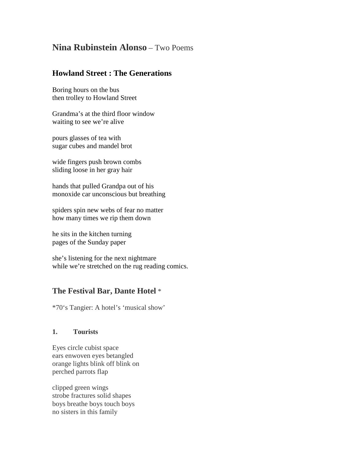# **Nina Rubinstein Alonso** – Two Poems

### **Howland Street : The Generations**

Boring hours on the bus then trolley to Howland Street

Grandma's at the third floor window waiting to see we're alive

pours glasses of tea with sugar cubes and mandel brot

wide fingers push brown combs sliding loose in her gray hair

hands that pulled Grandpa out of his monoxide car unconscious but breathing

spiders spin new webs of fear no matter how many times we rip them down

he sits in the kitchen turning pages of the Sunday paper

she's listening for the next nightmare while we're stretched on the rug reading comics.

## **The Festival Bar, Dante Hotel** \*

\*70's Tangier: A hotel's 'musical show'

#### **1. Tourists**

Eyes circle cubist space ears enwoven eyes betangled orange lights blink off blink on perched parrots flap

clipped green wings strobe fractures solid shapes boys breathe boys touch boys no sisters in this family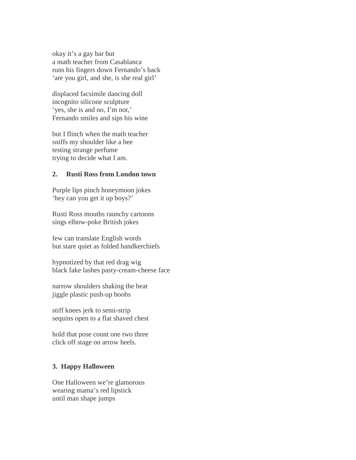okay it's a gay bar but a math teacher from Casablanca runs his fingers down Fernando's back 'are you girl, and she, is she real girl'

displaced facsimile dancing doll incognito silicone sculpture 'yes, she is and no, I'm not,' Fernando smiles and sips his wine

but I flinch when the math teacher sniffs my shoulder like a bee testing strange perfume trying to decide what I am.

#### **2. Rusti Ross from London town**

Purple lips pinch honeymoon jokes 'hey can you get it up boys?'

Rusti Ross mouths raunchy cartoons sings elbow-poke British jokes

few can translate English words but stare quiet as folded handkerchiefs

hypnotized by that red drag wig black fake lashes pasty-cream-cheese face

narrow shoulders shaking the beat jiggle plastic push-up boobs

stiff knees jerk to semi-strip sequins open to a flat shaved chest

hold that pose count one two three click off stage on arrow heels.

#### **3. Happy Halloween**

One Halloween we're glamorous wearing mama's red lipstick until man shape jumps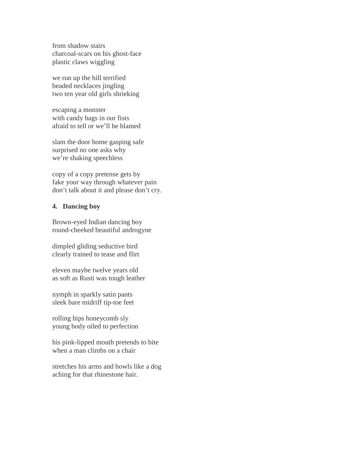from shadow stairs charcoal-scars on his ghost-face plastic claws wiggling

we run up the hill terrified beaded necklaces jingling two ten year old girls shrieking

escaping a monster with candy bags in our fists afraid to tell or we'll be blamed

slam the door home gasping safe surprised no one asks why we're shaking speechless

copy of a copy pretense gets by fake your way through whatever pain don't talk about it and please don't cry.

#### **4. Dancing boy**

Brown-eyed Indian dancing boy round-cheeked beautiful androgyne

dimpled gliding seductive bird clearly trained to tease and flirt

eleven maybe twelve years old as soft as Rusti was tough leather

nymph in sparkly satin pants sleek bare midriff tip-toe feet

rolling hips honeycomb sly young body oiled to perfection

his pink-lipped mouth pretends to bite when a man climbs on a chair

stretches his arms and howls like a dog aching for that rhinestone hair.